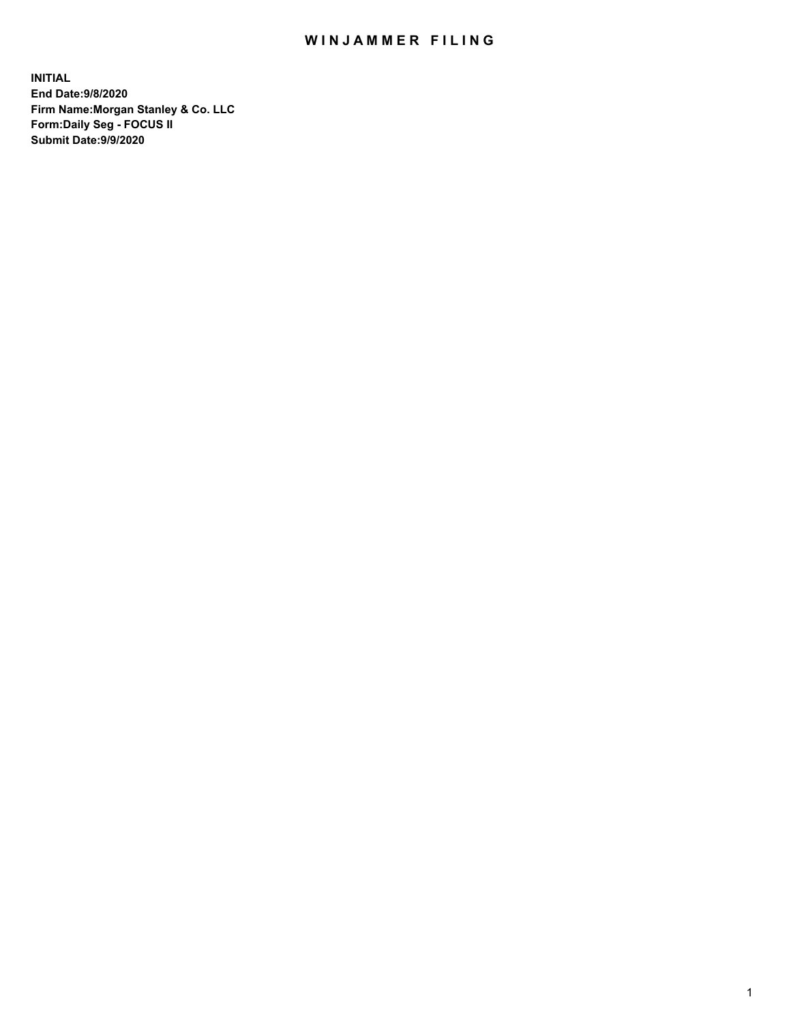## WIN JAMMER FILING

**INITIAL End Date:9/8/2020 Firm Name:Morgan Stanley & Co. LLC Form:Daily Seg - FOCUS II Submit Date:9/9/2020**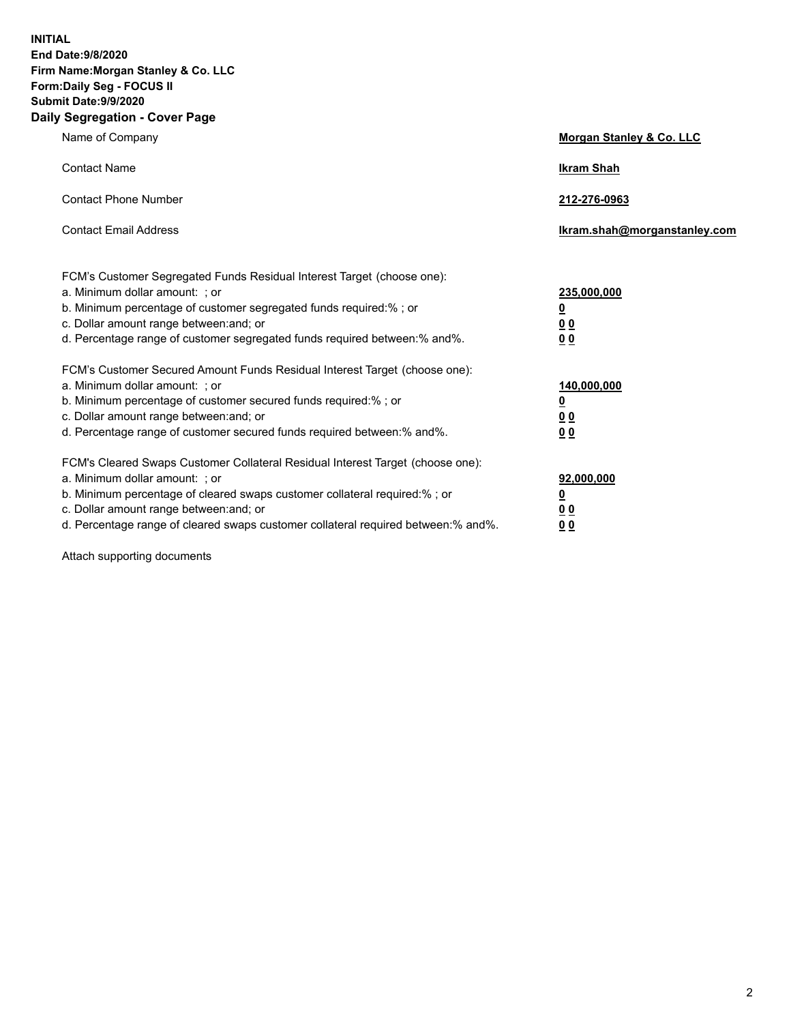**INITIAL End Date:9/8/2020 Firm Name:Morgan Stanley & Co. LLC Form:Daily Seg - FOCUS II Submit Date:9/9/2020 Daily Segregation - Cover Page**

| Name of Company                                                                                                                                                                                                                                                                                                                | Morgan Stanley & Co. LLC                                    |
|--------------------------------------------------------------------------------------------------------------------------------------------------------------------------------------------------------------------------------------------------------------------------------------------------------------------------------|-------------------------------------------------------------|
| <b>Contact Name</b>                                                                                                                                                                                                                                                                                                            | <b>Ikram Shah</b>                                           |
| <b>Contact Phone Number</b>                                                                                                                                                                                                                                                                                                    | 212-276-0963                                                |
| <b>Contact Email Address</b>                                                                                                                                                                                                                                                                                                   | Ikram.shah@morganstanley.com                                |
| FCM's Customer Segregated Funds Residual Interest Target (choose one):<br>a. Minimum dollar amount: ; or<br>b. Minimum percentage of customer segregated funds required:% ; or<br>c. Dollar amount range between: and; or<br>d. Percentage range of customer segregated funds required between:% and%.                         | 235,000,000<br><u>0</u><br>0 Q<br>0 <sub>0</sub>            |
| FCM's Customer Secured Amount Funds Residual Interest Target (choose one):<br>a. Minimum dollar amount: : or<br>b. Minimum percentage of customer secured funds required:%; or<br>c. Dollar amount range between: and; or<br>d. Percentage range of customer secured funds required between:% and%.                            | 140,000,000<br><u>0</u><br>0 <sub>0</sub><br>0 <sub>0</sub> |
| FCM's Cleared Swaps Customer Collateral Residual Interest Target (choose one):<br>a. Minimum dollar amount: ; or<br>b. Minimum percentage of cleared swaps customer collateral required:% ; or<br>c. Dollar amount range between: and; or<br>d. Percentage range of cleared swaps customer collateral required between:% and%. | 92,000,000<br><u>0</u><br>0 Q<br>0 <sub>0</sub>             |

Attach supporting documents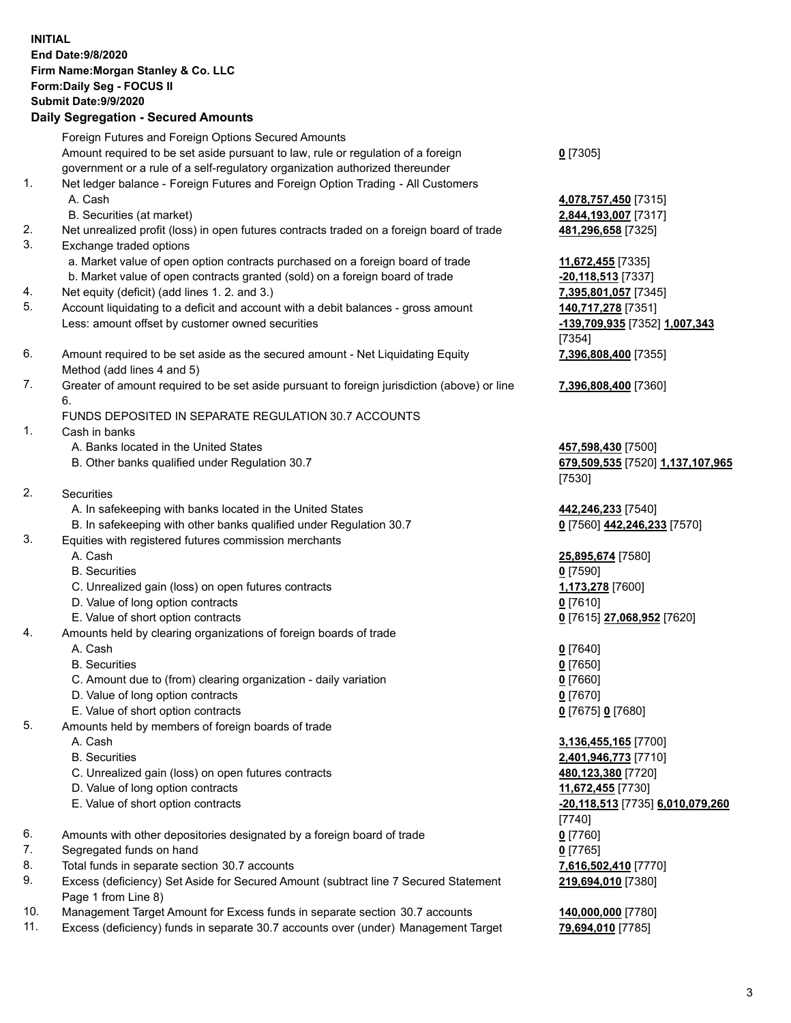|          | <b>INITIAL</b><br>End Date: 9/8/2020<br>Firm Name: Morgan Stanley & Co. LLC<br>Form: Daily Seg - FOCUS II<br><b>Submit Date: 9/9/2020</b><br><b>Daily Segregation - Secured Amounts</b>                                 |                                                                  |
|----------|-------------------------------------------------------------------------------------------------------------------------------------------------------------------------------------------------------------------------|------------------------------------------------------------------|
|          | Foreign Futures and Foreign Options Secured Amounts<br>Amount required to be set aside pursuant to law, rule or regulation of a foreign<br>government or a rule of a self-regulatory organization authorized thereunder | $0$ [7305]                                                       |
| 1.       | Net ledger balance - Foreign Futures and Foreign Option Trading - All Customers<br>A. Cash                                                                                                                              | 4,078,757,450 [7315]                                             |
|          | B. Securities (at market)                                                                                                                                                                                               | 2,844,193,007 [7317]                                             |
| 2.<br>3. | Net unrealized profit (loss) in open futures contracts traded on a foreign board of trade<br>Exchange traded options                                                                                                    | 481,296,658 [7325]                                               |
|          | a. Market value of open option contracts purchased on a foreign board of trade                                                                                                                                          | 11,672,455 [7335]                                                |
|          | b. Market value of open contracts granted (sold) on a foreign board of trade<br>Net equity (deficit) (add lines 1. 2. and 3.)                                                                                           | -20,118,513 [7337]                                               |
| 4.<br>5. | Account liquidating to a deficit and account with a debit balances - gross amount                                                                                                                                       | 7,395,801,057 [7345]<br>140,717,278 [7351]                       |
|          | Less: amount offset by customer owned securities                                                                                                                                                                        | -139,709,935 [7352] 1,007,343<br>[7354]                          |
| 6.       | Amount required to be set aside as the secured amount - Net Liquidating Equity<br>Method (add lines 4 and 5)                                                                                                            | 7,396,808,400 [7355]                                             |
| 7.       | Greater of amount required to be set aside pursuant to foreign jurisdiction (above) or line<br>6.                                                                                                                       | 7,396,808,400 [7360]                                             |
|          | FUNDS DEPOSITED IN SEPARATE REGULATION 30.7 ACCOUNTS                                                                                                                                                                    |                                                                  |
| 1.       | Cash in banks                                                                                                                                                                                                           |                                                                  |
|          | A. Banks located in the United States<br>B. Other banks qualified under Regulation 30.7                                                                                                                                 | 457,598,430 [7500]<br>679,509,535 [7520] 1,137,107,965<br>[7530] |
| 2.       | <b>Securities</b>                                                                                                                                                                                                       |                                                                  |
|          | A. In safekeeping with banks located in the United States                                                                                                                                                               | 442,246,233 [7540]                                               |
| 3.       | B. In safekeeping with other banks qualified under Regulation 30.7<br>Equities with registered futures commission merchants                                                                                             | 0 [7560] 442,246,233 [7570]                                      |
|          | A. Cash                                                                                                                                                                                                                 | 25,895,674 [7580]                                                |
|          | <b>B.</b> Securities                                                                                                                                                                                                    | $0$ [7590]                                                       |
|          | C. Unrealized gain (loss) on open futures contracts                                                                                                                                                                     | 1,173,278 [7600]                                                 |
|          | D. Value of long option contracts                                                                                                                                                                                       | $0$ [7610]                                                       |
|          | E. Value of short option contracts                                                                                                                                                                                      | 0 [7615] 27,068,952 [7620]                                       |
| 4.       | Amounts held by clearing organizations of foreign boards of trade                                                                                                                                                       |                                                                  |
|          | A. Cash                                                                                                                                                                                                                 | $0$ [7640]                                                       |
|          | <b>B.</b> Securities                                                                                                                                                                                                    | $0$ [7650]                                                       |
|          | C. Amount due to (from) clearing organization - daily variation                                                                                                                                                         | $0$ [7660]                                                       |
|          | D. Value of long option contracts                                                                                                                                                                                       | $0$ [7670]                                                       |
| 5.       | E. Value of short option contracts<br>Amounts held by members of foreign boards of trade                                                                                                                                | 0 [7675] 0 [7680]                                                |
|          | A. Cash                                                                                                                                                                                                                 |                                                                  |
|          | <b>B.</b> Securities                                                                                                                                                                                                    | 3,136,455,165 [7700]<br>2,401,946,773 [7710]                     |
|          | C. Unrealized gain (loss) on open futures contracts                                                                                                                                                                     | 480,123,380 [7720]                                               |
|          | D. Value of long option contracts                                                                                                                                                                                       | 11,672,455 [7730]                                                |
|          | E. Value of short option contracts                                                                                                                                                                                      | -20,118,513 [7735] 6,010,079,260                                 |
|          |                                                                                                                                                                                                                         | [7740]                                                           |
| 6.       | Amounts with other depositories designated by a foreign board of trade                                                                                                                                                  | $0$ [7760]                                                       |
| 7.       | Segregated funds on hand                                                                                                                                                                                                | $0$ [7765]                                                       |
| 8.       | Total funds in separate section 30.7 accounts                                                                                                                                                                           | 7,616,502,410 [7770]                                             |
| 9.       | Excess (deficiency) Set Aside for Secured Amount (subtract line 7 Secured Statement<br>Page 1 from Line 8)                                                                                                              | 219,694,010 [7380]                                               |
| 10.      | Management Target Amount for Excess funds in separate section 30.7 accounts                                                                                                                                             | 140,000,000 [7780]                                               |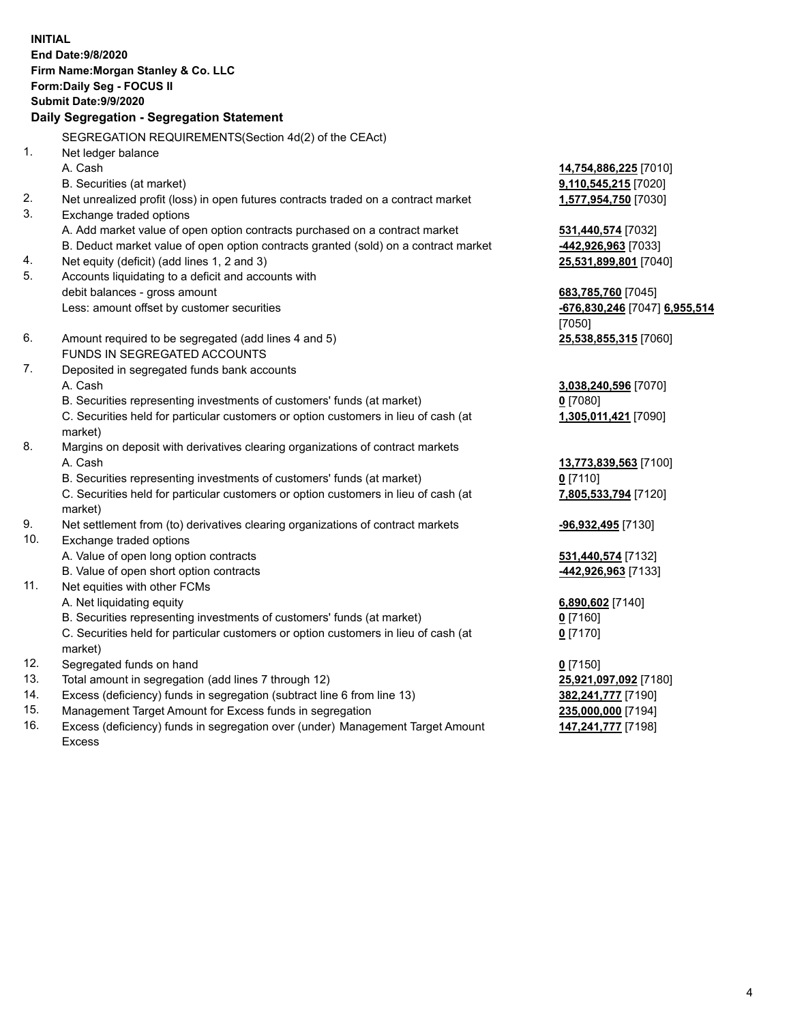| <b>INITIAL</b> | End Date: 9/8/2020<br>Firm Name: Morgan Stanley & Co. LLC<br>Form: Daily Seg - FOCUS II<br><b>Submit Date: 9/9/2020</b><br>Daily Segregation - Segregation Statement |                               |
|----------------|----------------------------------------------------------------------------------------------------------------------------------------------------------------------|-------------------------------|
|                | SEGREGATION REQUIREMENTS(Section 4d(2) of the CEAct)                                                                                                                 |                               |
| 1.             | Net ledger balance                                                                                                                                                   |                               |
|                | A. Cash                                                                                                                                                              | 14,754,886,225 [7010]         |
| 2.             | B. Securities (at market)<br>Net unrealized profit (loss) in open futures contracts traded on a contract market                                                      | 9,110,545,215 [7020]          |
| 3.             | Exchange traded options                                                                                                                                              | 1,577,954,750 [7030]          |
|                | A. Add market value of open option contracts purchased on a contract market                                                                                          | 531,440,574 [7032]            |
|                | B. Deduct market value of open option contracts granted (sold) on a contract market                                                                                  | 442,926,963 [7033]            |
| 4.             | Net equity (deficit) (add lines 1, 2 and 3)                                                                                                                          | 25,531,899,801 [7040]         |
| 5.             | Accounts liquidating to a deficit and accounts with                                                                                                                  |                               |
|                | debit balances - gross amount                                                                                                                                        | 683,785,760 [7045]            |
|                | Less: amount offset by customer securities                                                                                                                           | -676,830,246 [7047] 6,955,514 |
|                |                                                                                                                                                                      | [7050]                        |
| 6.             | Amount required to be segregated (add lines 4 and 5)                                                                                                                 | 25,538,855,315 [7060]         |
|                | FUNDS IN SEGREGATED ACCOUNTS                                                                                                                                         |                               |
| 7.             | Deposited in segregated funds bank accounts                                                                                                                          |                               |
|                | A. Cash                                                                                                                                                              | 3,038,240,596 [7070]          |
|                | B. Securities representing investments of customers' funds (at market)                                                                                               | $0$ [7080]                    |
|                | C. Securities held for particular customers or option customers in lieu of cash (at<br>market)                                                                       | 1,305,011,421 [7090]          |
| 8.             | Margins on deposit with derivatives clearing organizations of contract markets                                                                                       |                               |
|                | A. Cash                                                                                                                                                              | 13,773,839,563 [7100]         |
|                | B. Securities representing investments of customers' funds (at market)                                                                                               | $0$ [7110]                    |
|                | C. Securities held for particular customers or option customers in lieu of cash (at<br>market)                                                                       | 7,805,533,794 [7120]          |
| 9.             | Net settlement from (to) derivatives clearing organizations of contract markets                                                                                      | -96,932,495 [7130]            |
| 10.            | Exchange traded options                                                                                                                                              |                               |
|                | A. Value of open long option contracts                                                                                                                               | 531,440,574 [7132]            |
|                | B. Value of open short option contracts                                                                                                                              | 442,926,963 [7133]            |
| 11.            | Net equities with other FCMs                                                                                                                                         |                               |
|                | A. Net liquidating equity                                                                                                                                            | 6,890,602 [7140]              |
|                | B. Securities representing investments of customers' funds (at market)                                                                                               | $0$ [7160]                    |
|                | C. Securities held for particular customers or option customers in lieu of cash (at<br>market)                                                                       | $0$ [7170]                    |
| 12.            | Segregated funds on hand                                                                                                                                             | $0$ [7150]                    |
| 13.            | Total amount in segregation (add lines 7 through 12)                                                                                                                 | 25,921,097,092 [7180]         |
| 14.            | Excess (deficiency) funds in segregation (subtract line 6 from line 13)                                                                                              | 382,241,777 [7190]            |
| 15.            | Management Target Amount for Excess funds in segregation                                                                                                             | 235,000,000 [7194]            |
| 16.            | Excess (deficiency) funds in segregation over (under) Management Target Amount                                                                                       | 147,241,777 [7198]            |

15. Management Target Amount for Excess funds in segregation<br>16. Excess (deficiency) funds in segregation over (under) Manag Excess (deficiency) funds in segregation over (under) Management Target Amount Excess